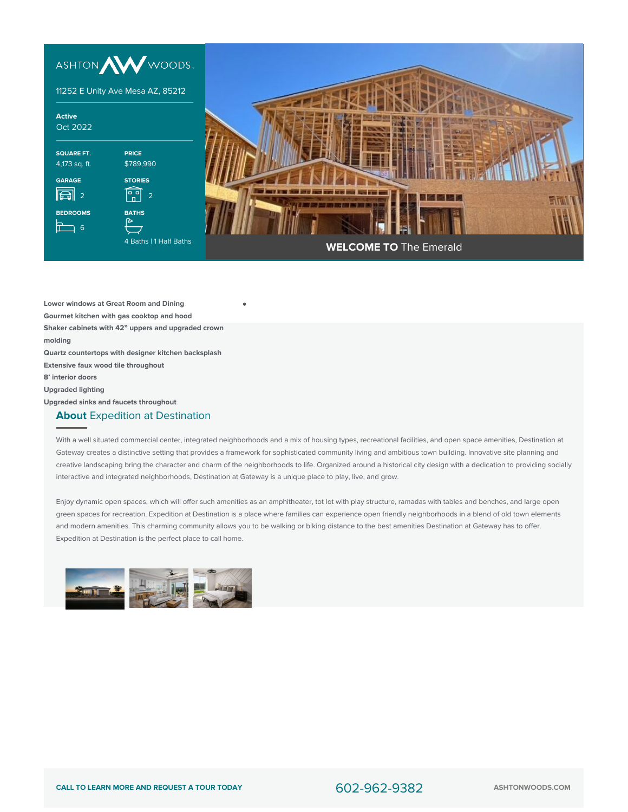

**Lower windows at Great Room and Dining Gourmet kitchen with gas cooktop and hood Shaker cabinets with 42" uppers and upgraded crown molding**

**Quartz countertops with designer kitchen backsplash**

**Extensive faux wood tile throughout**

**8' interior doors**

**Upgraded lighting**

**Upgraded sinks and faucets throughout**

## **About** Expedition at Destination

With a well situated commercial center, integrated neighborhoods and a mix of housing types, recreational facilities, and open space amenities, Destination at Gateway creates a distinctive setting that provides a framework for sophisticated community living and ambitious town building. Innovative site planning and creative landscaping bring the character and charm of the neighborhoods to life. Organized around a historical city design with a dedication to providing socially interactive and integrated neighborhoods, Destination at Gateway is a unique place to play, live, and grow.

Enjoy dynamic open spaces, which will offer such amenities as an amphitheater, tot lot with play structure, ramadas with tables and benches, and large open green spaces for recreation. Expedition at Destination is a place where families can experience open friendly neighborhoods in a blend of old town elements and modern amenities. This charming community allows you to be walking or biking distance to the best amenities Destination at Gateway has to offer. Expedition at Destination is the perfect place to call home.